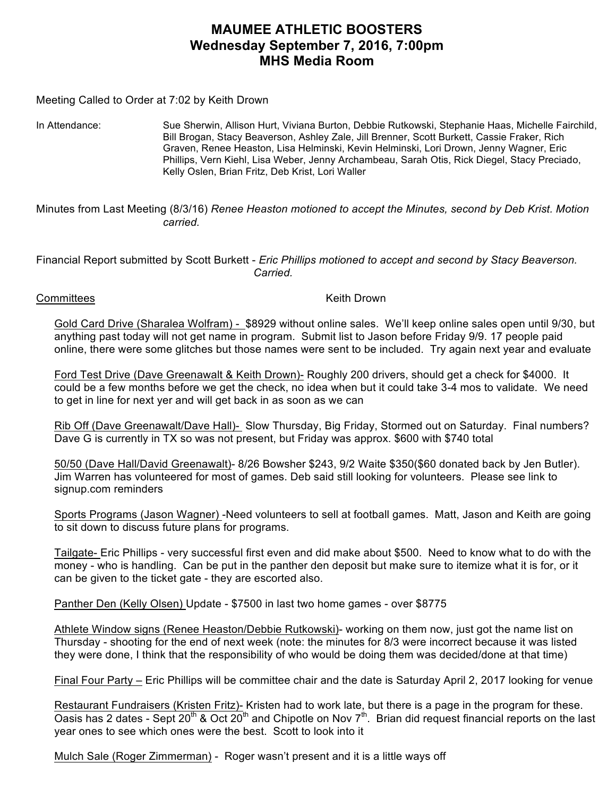## **MAUMEE ATHLETIC BOOSTERS Wednesday September 7, 2016, 7:00pm MHS Media Room**

Meeting Called to Order at 7:02 by Keith Drown

In Attendance: Sue Sherwin, Allison Hurt, Viviana Burton, Debbie Rutkowski, Stephanie Haas, Michelle Fairchild, Bill Brogan, Stacy Beaverson, Ashley Zale, Jill Brenner, Scott Burkett, Cassie Fraker, Rich Graven, Renee Heaston, Lisa Helminski, Kevin Helminski, Lori Drown, Jenny Wagner, Eric Phillips, Vern Kiehl, Lisa Weber, Jenny Archambeau, Sarah Otis, Rick Diegel, Stacy Preciado, Kelly Oslen, Brian Fritz, Deb Krist, Lori Waller

Minutes from Last Meeting (8/3/16) *Renee Heaston motioned to accept the Minutes, second by Deb Krist. Motion carried.*

Financial Report submitted by Scott Burkett - *Eric Phillips motioned to accept and second by Stacy Beaverson. Carried.* 

Committees **Keith Drown** 

Gold Card Drive (Sharalea Wolfram) - \$8929 without online sales. We'll keep online sales open until 9/30, but anything past today will not get name in program. Submit list to Jason before Friday 9/9. 17 people paid online, there were some glitches but those names were sent to be included. Try again next year and evaluate

Ford Test Drive (Dave Greenawalt & Keith Drown)- Roughly 200 drivers, should get a check for \$4000. It could be a few months before we get the check, no idea when but it could take 3-4 mos to validate. We need to get in line for next yer and will get back in as soon as we can

Rib Off (Dave Greenawalt/Dave Hall)- Slow Thursday, Big Friday, Stormed out on Saturday. Final numbers? Dave G is currently in TX so was not present, but Friday was approx. \$600 with \$740 total

50/50 (Dave Hall/David Greenawalt)- 8/26 Bowsher \$243, 9/2 Waite \$350(\$60 donated back by Jen Butler). Jim Warren has volunteered for most of games. Deb said still looking for volunteers. Please see link to signup.com reminders

Sports Programs (Jason Wagner) -Need volunteers to sell at football games. Matt, Jason and Keith are going to sit down to discuss future plans for programs.

Tailgate- Eric Phillips - very successful first even and did make about \$500. Need to know what to do with the money - who is handling. Can be put in the panther den deposit but make sure to itemize what it is for, or it can be given to the ticket gate - they are escorted also.

Panther Den (Kelly Olsen) Update - \$7500 in last two home games - over \$8775

Athlete Window signs (Renee Heaston/Debbie Rutkowski)- working on them now, just got the name list on Thursday - shooting for the end of next week (note: the minutes for 8/3 were incorrect because it was listed they were done, I think that the responsibility of who would be doing them was decided/done at that time)

Final Four Party – Eric Phillips will be committee chair and the date is Saturday April 2, 2017 looking for venue

Restaurant Fundraisers (Kristen Fritz)- Kristen had to work late, but there is a page in the program for these. Dasis has 2 dates - Sept  $20^{th}$  & Oct  $20^{th}$  and Chipotle on Nov  $7^{th}$ . Brian did request financial reports on the last year ones to see which ones were the best. Scott to look into it

Mulch Sale (Roger Zimmerman) - Roger wasn't present and it is a little ways off